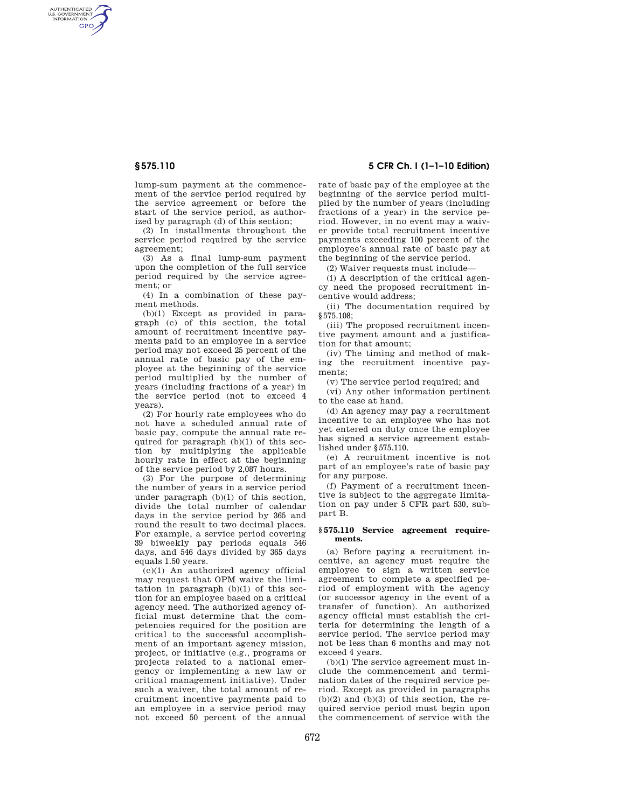AUTHENTICATED<br>U.S. GOVERNMENT<br>INFORMATION **GPO** 

> lump-sum payment at the commencement of the service period required by the service agreement or before the start of the service period, as authorized by paragraph (d) of this section;

> (2) In installments throughout the service period required by the service agreement;

> (3) As a final lump-sum payment upon the completion of the full service period required by the service agreement; or

> (4) In a combination of these payment methods.

(b)(1) Except as provided in paragraph (c) of this section, the total amount of recruitment incentive payments paid to an employee in a service period may not exceed 25 percent of the annual rate of basic pay of the employee at the beginning of the service period multiplied by the number of years (including fractions of a year) in the service period (not to exceed 4 years).

(2) For hourly rate employees who do not have a scheduled annual rate of basic pay, compute the annual rate required for paragraph (b)(1) of this section by multiplying the applicable hourly rate in effect at the beginning of the service period by 2,087 hours.

(3) For the purpose of determining the number of years in a service period under paragraph (b)(1) of this section, divide the total number of calendar days in the service period by 365 and round the result to two decimal places. For example, a service period covering 39 biweekly pay periods equals 546 days, and 546 days divided by 365 days equals 1.50 years.

 $(c)(1)$  An authorized agency official may request that OPM waive the limitation in paragraph (b)(1) of this section for an employee based on a critical agency need. The authorized agency official must determine that the competencies required for the position are critical to the successful accomplishment of an important agency mission, project, or initiative (e.g., programs or projects related to a national emergency or implementing a new law or critical management initiative). Under such a waiver, the total amount of recruitment incentive payments paid to an employee in a service period may not exceed 50 percent of the annual

# **§ 575.110 5 CFR Ch. I (1–1–10 Edition)**

rate of basic pay of the employee at the beginning of the service period multiplied by the number of years (including fractions of a year) in the service period. However, in no event may a waiver provide total recruitment incentive payments exceeding 100 percent of the employee's annual rate of basic pay at the beginning of the service period.

(2) Waiver requests must include—

(i) A description of the critical agency need the proposed recruitment incentive would address;

(ii) The documentation required by §575.108;

(iii) The proposed recruitment incentive payment amount and a justification for that amount;

(iv) The timing and method of making the recruitment incentive payments;

(v) The service period required; and

(vi) Any other information pertinent to the case at hand.

(d) An agency may pay a recruitment incentive to an employee who has not yet entered on duty once the employee has signed a service agreement established under §575.110.

(e) A recruitment incentive is not part of an employee's rate of basic pay for any purpose.

(f) Payment of a recruitment incentive is subject to the aggregate limitation on pay under 5 CFR part 530, subpart B.

## **§ 575.110 Service agreement requirements.**

(a) Before paying a recruitment incentive, an agency must require the employee to sign a written service agreement to complete a specified period of employment with the agency (or successor agency in the event of a transfer of function). An authorized agency official must establish the criteria for determining the length of a service period. The service period may not be less than 6 months and may not exceed 4 years.

(b)(1) The service agreement must include the commencement and termination dates of the required service period. Except as provided in paragraphs  $(b)(2)$  and  $(b)(3)$  of this section, the required service period must begin upon the commencement of service with the